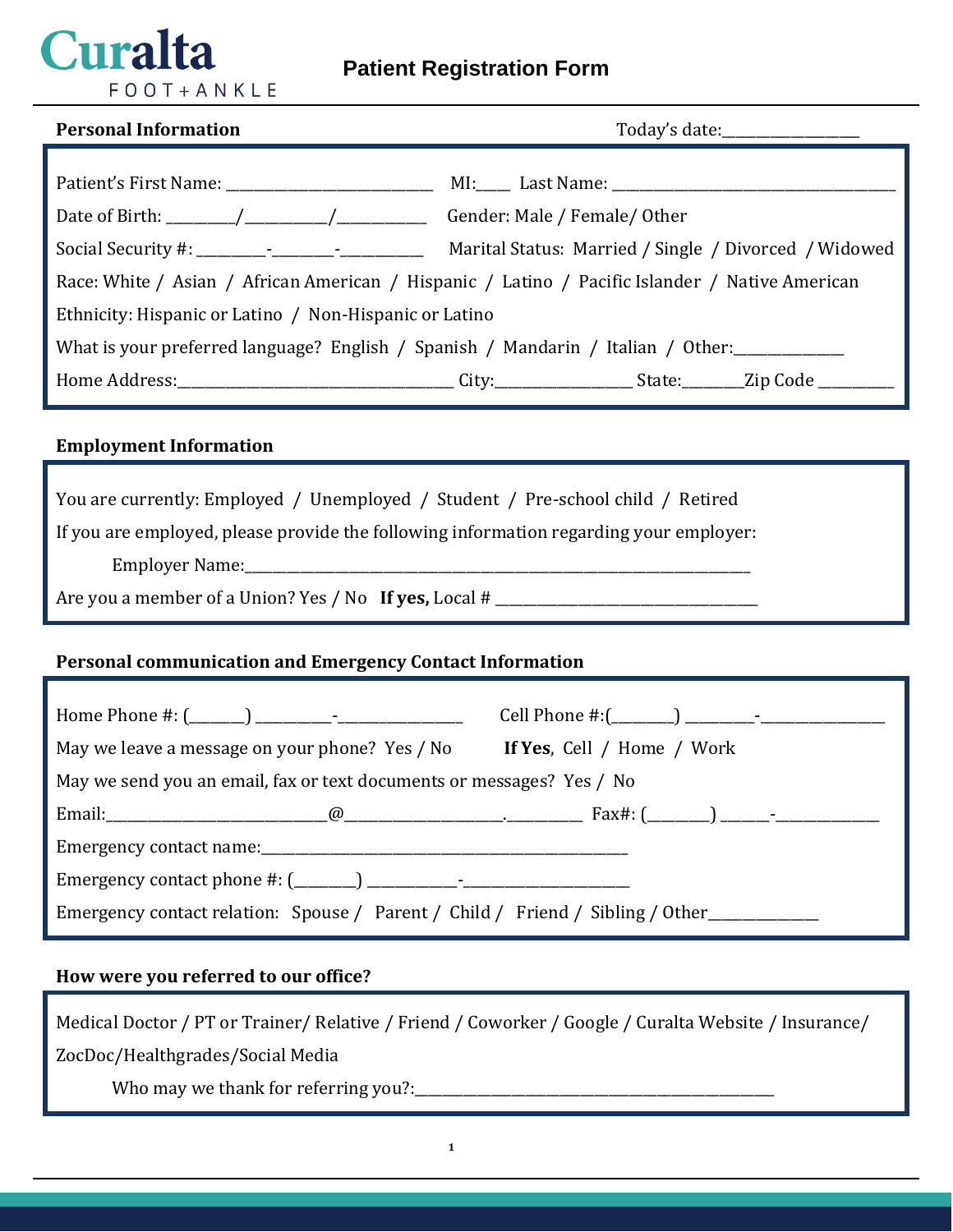

# **Patient Registration Form**

| <b>Personal Information</b>                                                                     | Today's date:__________________                       |  |  |
|-------------------------------------------------------------------------------------------------|-------------------------------------------------------|--|--|
|                                                                                                 |                                                       |  |  |
|                                                                                                 |                                                       |  |  |
|                                                                                                 | Gender: Male / Female/ Other                          |  |  |
|                                                                                                 | Marital Status: Married / Single / Divorced / Widowed |  |  |
| Race: White / Asian / African American / Hispanic / Latino / Pacific Islander / Native American |                                                       |  |  |
| Ethnicity: Hispanic or Latino / Non-Hispanic or Latino                                          |                                                       |  |  |
| What is your preferred language? English / Spanish / Mandarin / Italian / Other:                |                                                       |  |  |
|                                                                                                 |                                                       |  |  |

### **Employment Information**

| You are currently: Employed / Unemployed / Student / Pre-school child / Retired |  |  |  |  |
|---------------------------------------------------------------------------------|--|--|--|--|
|---------------------------------------------------------------------------------|--|--|--|--|

If you are employed, please provide the following information regarding your employer:

Employer Name:\_\_\_\_\_\_\_\_\_\_\_\_\_\_\_\_\_\_\_\_\_\_\_\_\_\_\_\_\_\_\_\_\_\_\_\_\_\_\_\_\_\_\_\_\_\_\_\_\_\_\_\_\_\_\_\_\_\_\_\_\_\_\_\_\_\_\_\_\_\_\_\_\_

Are you a member of a Union? Yes / No **If yes,** Local # \_\_\_\_\_\_\_\_\_\_\_\_\_\_\_\_\_\_\_\_\_\_\_\_\_\_\_\_\_\_\_\_\_\_\_\_\_\_

### **Personal communication and Emergency Contact Information**

| May we leave a message on your phone? Yes / No <b>If Yes</b> , Cell / Home / Work |  |  |
|-----------------------------------------------------------------------------------|--|--|
| May we send you an email, fax or text documents or messages? Yes / No             |  |  |
|                                                                                   |  |  |
|                                                                                   |  |  |
|                                                                                   |  |  |
| Emergency contact relation: Spouse / Parent / Child / Friend / Sibling / Other    |  |  |

### **How were you referred to our office?**

Medical Doctor / PT or Trainer/ Relative / Friend / Coworker / Google / Curalta Website / Insurance/ ZocDoc/Healthgrades/Social Media Who may we thank for referring you?:\_\_\_\_\_\_\_\_\_\_\_\_\_\_\_\_\_\_\_\_\_\_\_\_\_\_\_\_\_\_\_\_\_\_\_\_\_\_\_\_\_\_\_\_\_\_\_\_\_\_\_\_

**1**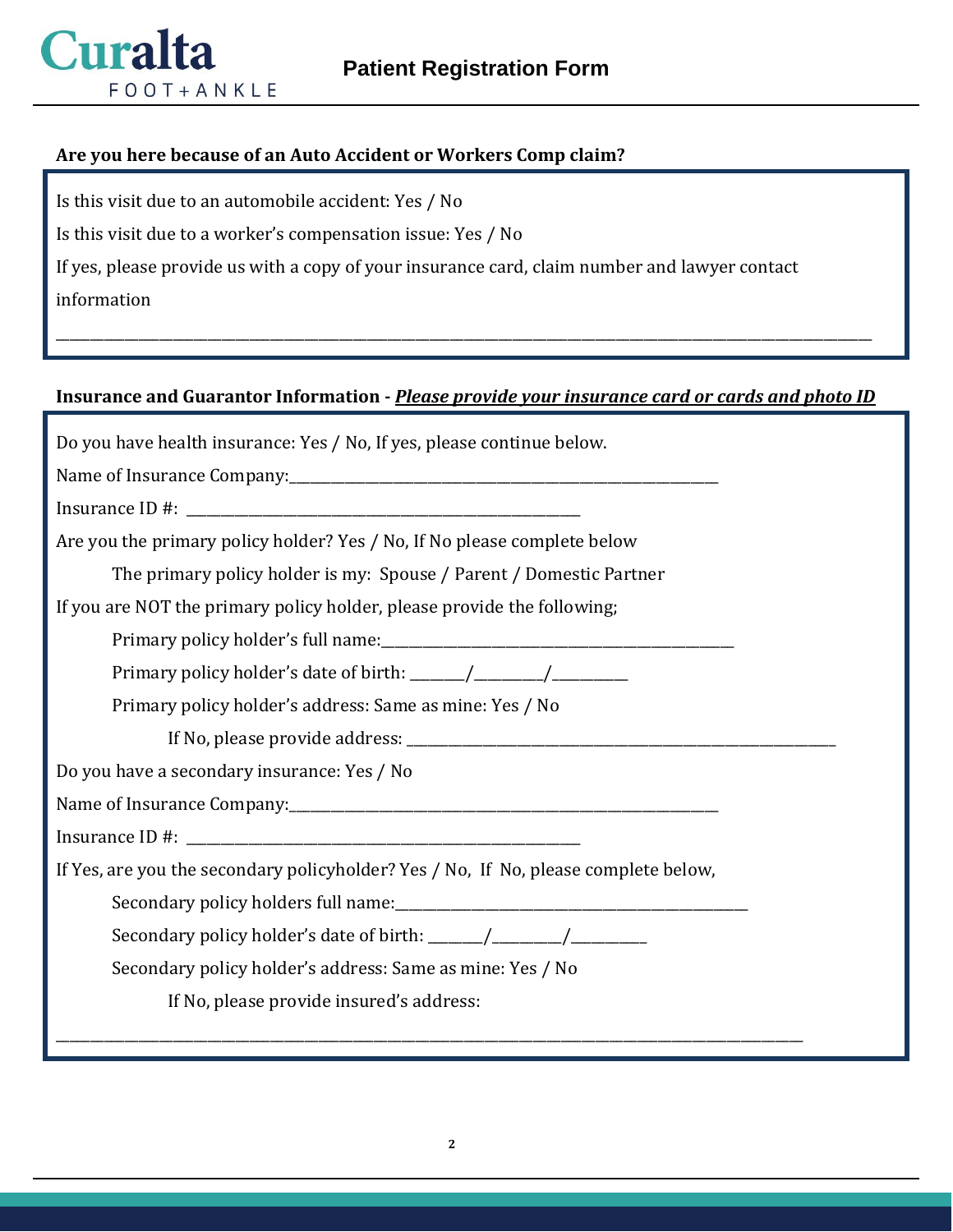

### **Are you here because of an Auto Accident or Workers Comp claim?**

Is this visit due to an automobile accident: Yes / No

Is this visit due to a worker's compensation issue: Yes / No

If yes, please provide us with a copy of your insurance card, claim number and lawyer contact

information

# **Insurance and Guarantor Information -** *Please provide your insurance card or cards and photo ID*

\_\_\_\_\_\_\_\_\_\_\_\_\_\_\_\_\_\_\_\_\_\_\_\_\_\_\_\_\_\_\_\_\_\_\_\_\_\_\_\_\_\_\_\_\_\_\_\_\_\_\_\_\_\_\_\_\_\_\_\_\_\_\_\_\_\_\_\_\_\_\_\_\_\_\_\_\_\_\_\_\_\_\_\_\_\_\_\_\_\_\_\_\_\_\_\_\_\_\_\_\_\_\_\_\_\_\_\_\_\_\_\_\_\_\_\_\_\_

| Do you have health insurance: Yes / No, If yes, please continue below.              |
|-------------------------------------------------------------------------------------|
|                                                                                     |
|                                                                                     |
| Are you the primary policy holder? Yes / No, If No please complete below            |
| The primary policy holder is my: Spouse / Parent / Domestic Partner                 |
| If you are NOT the primary policy holder, please provide the following;             |
|                                                                                     |
|                                                                                     |
| Primary policy holder's address: Same as mine: Yes / No                             |
|                                                                                     |
| Do you have a secondary insurance: Yes / No                                         |
|                                                                                     |
|                                                                                     |
| If Yes, are you the secondary policyholder? Yes / No, If No, please complete below, |
|                                                                                     |
|                                                                                     |
| Secondary policy holder's address: Same as mine: Yes / No                           |
| If No, please provide insured's address:                                            |
|                                                                                     |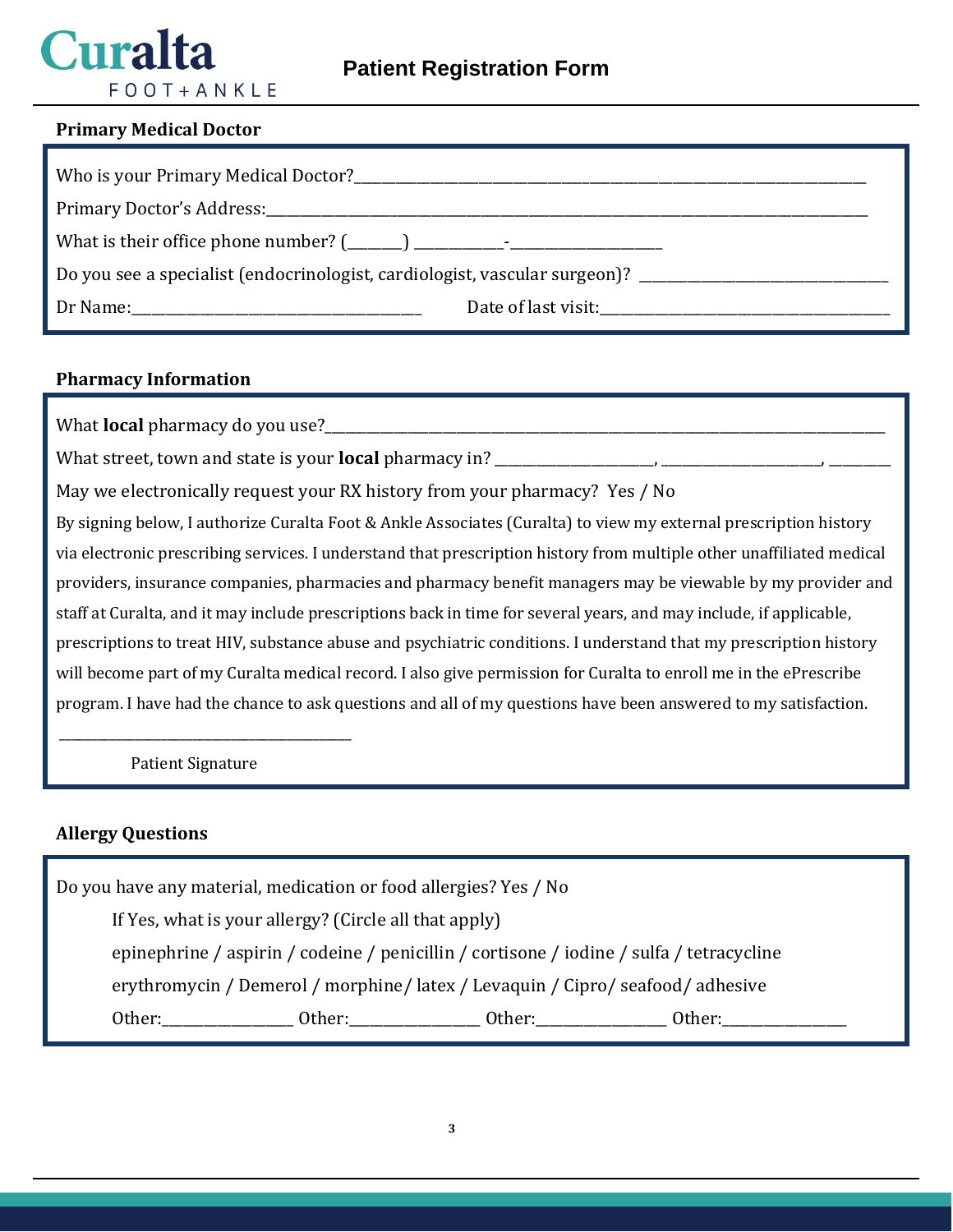# Curalta  $F$  O O T + A N K L E

### **Primary Medical Doctor**

| Do you see a specialist (endocrinologist, cardiologist, vascular surgeon)? _________________________ |                     |  |
|------------------------------------------------------------------------------------------------------|---------------------|--|
|                                                                                                      | Date of last visit: |  |

### **Pharmacy Information**

What **local** pharmacy do you use?

What street, town and state is your **local** pharmacy in?

May we electronically request your RX history from your pharmacy? Yes / No

By signing below, I authorize Curalta Foot & Ankle Associates (Curalta) to view my external prescription history via electronic prescribing services. I understand that prescription history from multiple other unaffiliated medical providers, insurance companies, pharmacies and pharmacy benefit managers may be viewable by my provider and staff at Curalta, and it may include prescriptions back in time for several years, and may include, if applicable, prescriptions to treat HIV, substance abuse and psychiatric conditions. I understand that my prescription history will become part of my Curalta medical record. I also give permission for Curalta to enroll me in the ePrescribe program. I have had the chance to ask questions and all of my questions have been answered to my satisfaction.

Patient Signature

\_\_\_\_\_\_\_\_\_\_\_\_\_\_\_\_\_\_\_\_\_\_\_\_\_\_\_\_\_\_\_\_\_\_\_\_\_\_\_\_\_\_\_\_\_\_

### **Allergy Questions**

Do you have any material, medication or food allergies? Yes / No If Yes, what is your allergy? (Circle all that apply) epinephrine / aspirin / codeine / penicillin / cortisone / iodine / sulfa / tetracycline erythromycin / Demerol / morphine/ latex / Levaquin / Cipro/ seafood/ adhesive Other: Cher: Cher: Cher: Cher: Cher: Cher: Cher: Cher: Cher: Cher: Cher: Cher: Cher: Cher: Cher: Cher:  $\alpha$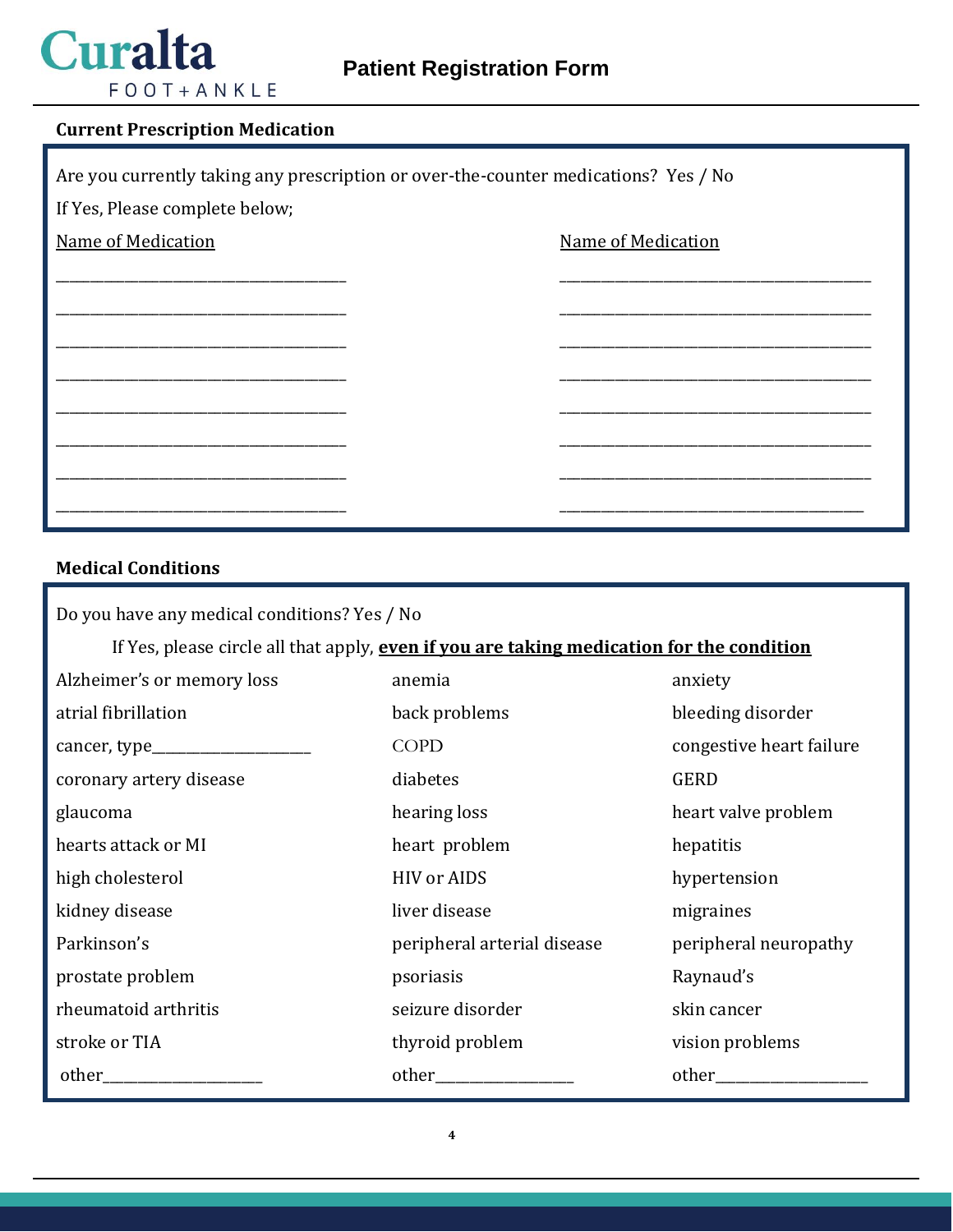

### **Current Prescription Medication**

| Are you currently taking any prescription or over-the-counter medications? Yes / No |  |                           |
|-------------------------------------------------------------------------------------|--|---------------------------|
| If Yes, Please complete below;                                                      |  |                           |
| <b>Name of Medication</b>                                                           |  | <b>Name of Medication</b> |
|                                                                                     |  |                           |
|                                                                                     |  |                           |
|                                                                                     |  |                           |
|                                                                                     |  |                           |
|                                                                                     |  |                           |
|                                                                                     |  |                           |
|                                                                                     |  |                           |
|                                                                                     |  |                           |
|                                                                                     |  |                           |

# **Medical Conditions**

| Do you have any medical conditions? Yes / No                                              |                             |                          |  |
|-------------------------------------------------------------------------------------------|-----------------------------|--------------------------|--|
| If Yes, please circle all that apply, even if you are taking medication for the condition |                             |                          |  |
| Alzheimer's or memory loss                                                                | anemia                      | anxiety                  |  |
| atrial fibrillation                                                                       | back problems               | bleeding disorder        |  |
|                                                                                           | <b>COPD</b>                 | congestive heart failure |  |
| coronary artery disease                                                                   | diabetes                    | GERD                     |  |
| glaucoma                                                                                  | hearing loss                | heart valve problem      |  |
| hearts attack or MI                                                                       | heart problem               | hepatitis                |  |
| high cholesterol                                                                          | <b>HIV</b> or AIDS          | hypertension             |  |
| kidney disease                                                                            | liver disease               | migraines                |  |
| Parkinson's                                                                               | peripheral arterial disease | peripheral neuropathy    |  |
| prostate problem                                                                          | psoriasis                   | Raynaud's                |  |
| rheumatoid arthritis                                                                      | seizure disorder            | skin cancer              |  |
| stroke or TIA                                                                             | thyroid problem             | vision problems          |  |
| other                                                                                     | other_                      | other                    |  |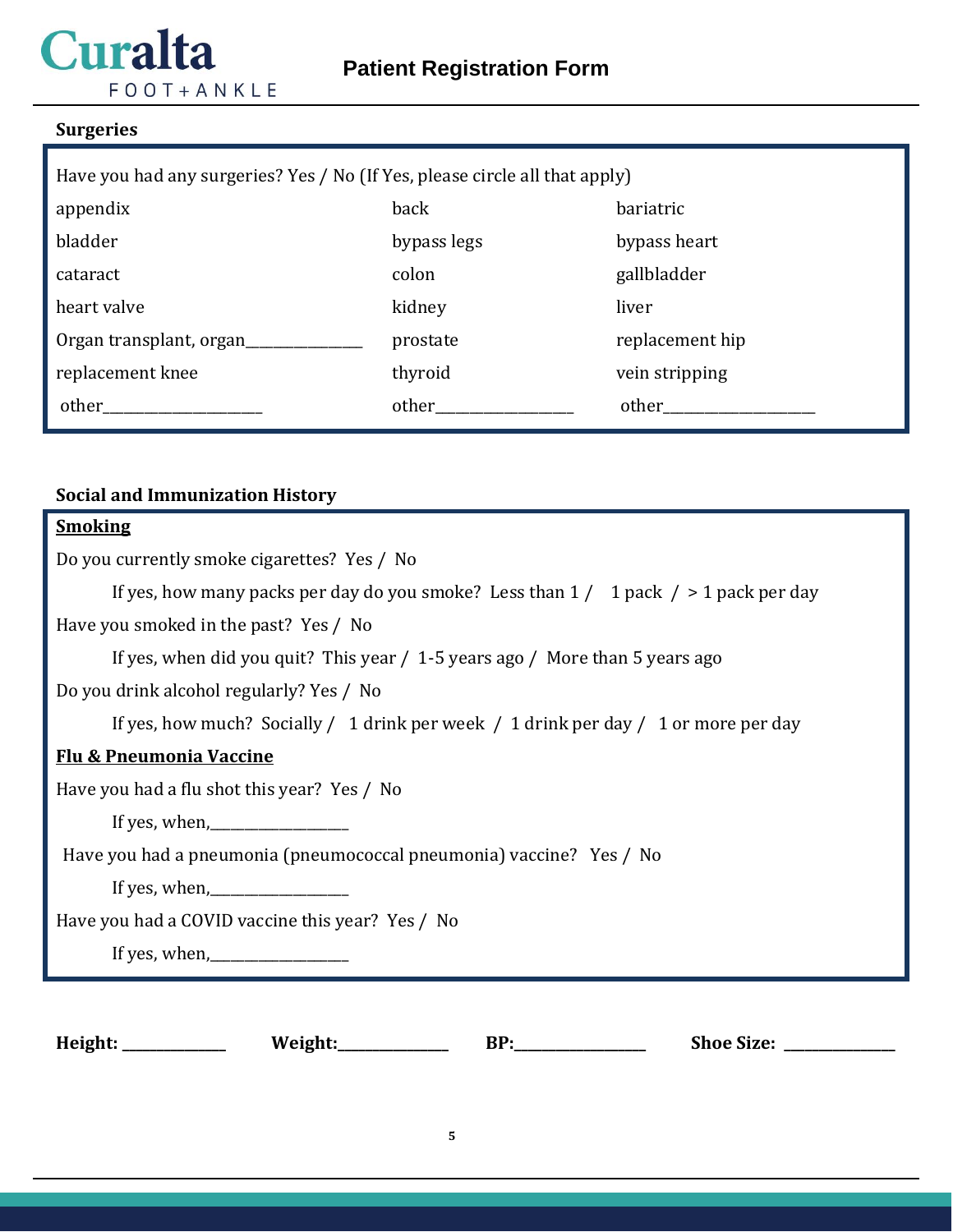# **Curalta**  $FOOT+ANKLE$

## **Surgeries**

| Have you had any surgeries? Yes / No (If Yes, please circle all that apply) |             |                 |  |
|-----------------------------------------------------------------------------|-------------|-----------------|--|
| appendix                                                                    | back        | bariatric       |  |
| bladder                                                                     | bypass legs | bypass heart    |  |
| cataract                                                                    | colon       | gallbladder     |  |
| heart valve                                                                 | kidney      | liver           |  |
| Organ transplant, organ                                                     | prostate    | replacement hip |  |
| replacement knee                                                            | thyroid     | vein stripping  |  |
| other                                                                       | other       | other           |  |

## **Social and Immunization History**

# **Smoking**

| Do you currently smoke cigarettes? Yes / No                                                                                                                                                                                                                       |
|-------------------------------------------------------------------------------------------------------------------------------------------------------------------------------------------------------------------------------------------------------------------|
| If yes, how many packs per day do you smoke? Less than $1/1$ pack $/$ > 1 pack per day                                                                                                                                                                            |
| Have you smoked in the past? Yes / No                                                                                                                                                                                                                             |
| If yes, when did you quit? This year / 1-5 years ago / More than 5 years ago                                                                                                                                                                                      |
| Do you drink alcohol regularly? Yes / No                                                                                                                                                                                                                          |
| If yes, how much? Socially / 1 drink per week / 1 drink per day / 1 or more per day                                                                                                                                                                               |
| <b>Flu &amp; Pneumonia Vaccine</b>                                                                                                                                                                                                                                |
| Have you had a flu shot this year? Yes / No                                                                                                                                                                                                                       |
|                                                                                                                                                                                                                                                                   |
| Have you had a pneumonia (pneumococcal pneumonia) vaccine? Yes / No                                                                                                                                                                                               |
| If yes, when, $\frac{1}{2}$ if yes, when, $\frac{1}{2}$ if yes, when, $\frac{1}{2}$ if yes, when, $\frac{1}{2}$ if yes, when, $\frac{1}{2}$ if yes, when, $\frac{1}{2}$ if yes, when, $\frac{1}{2}$ if yes, when, $\frac{1}{2}$ if yes, when, $\frac{1}{2}$ if ye |
| Have you had a COVID vaccine this year? Yes / No                                                                                                                                                                                                                  |
|                                                                                                                                                                                                                                                                   |
|                                                                                                                                                                                                                                                                   |
|                                                                                                                                                                                                                                                                   |

**Height: \_\_\_\_\_\_\_\_\_\_\_\_\_\_\_ Weight:\_\_\_\_\_\_\_\_\_\_\_\_\_\_\_\_ BP:\_\_\_\_\_\_\_\_\_\_\_\_\_\_\_\_\_\_\_ Shoe Size: \_\_\_\_\_\_\_\_\_\_\_\_\_\_\_\_**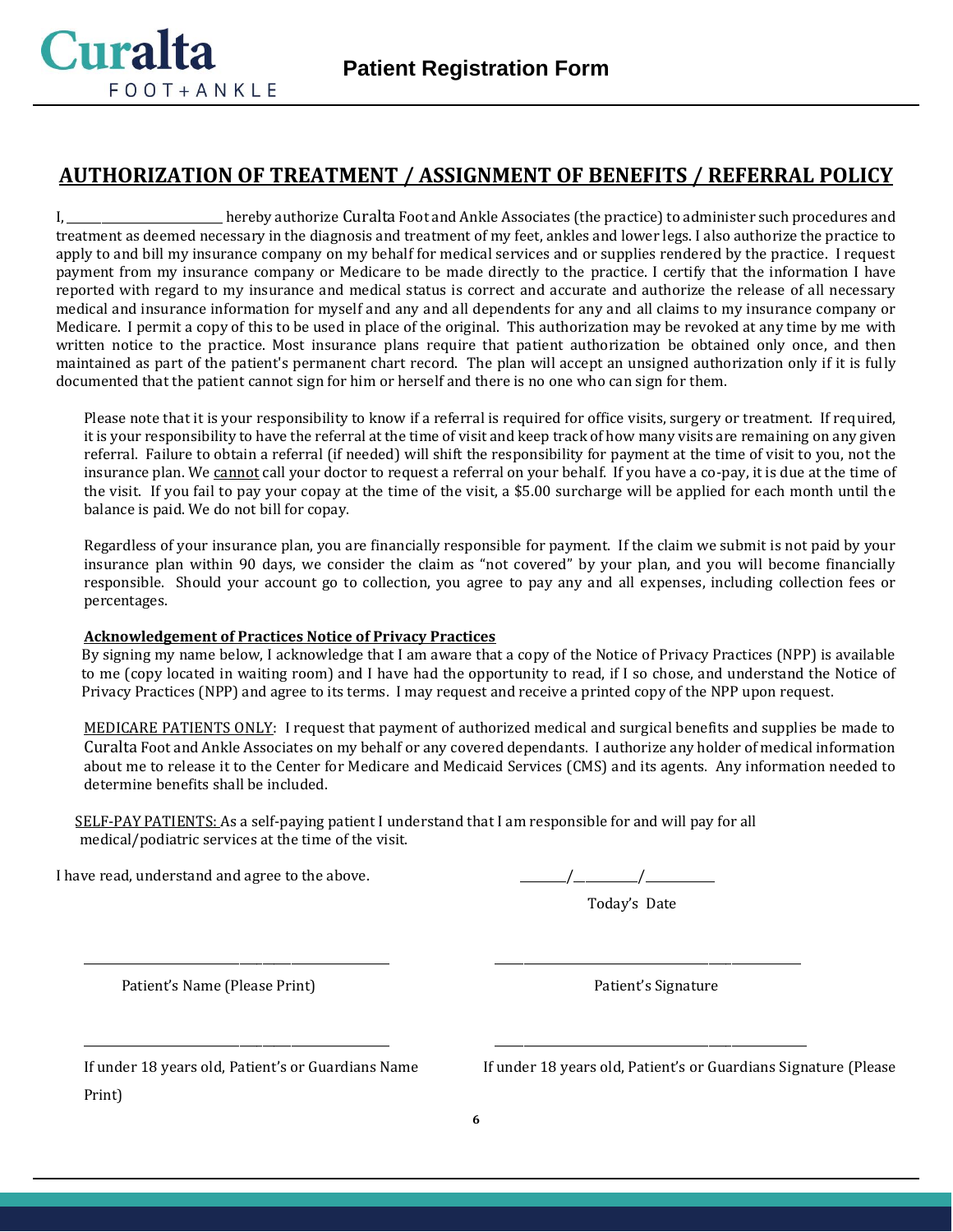

## **AUTHORIZATION OF TREATMENT / ASSIGNMENT OF BENEFITS / REFERRAL POLICY**

I, \_\_\_\_\_\_\_\_\_\_\_\_\_\_\_\_\_\_\_\_\_\_\_\_\_\_\_ hereby authorize Curalta Foot and Ankle Associates (the practice) to administer such procedures and treatment as deemed necessary in the diagnosis and treatment of my feet, ankles and lower legs. I also authorize the practice to apply to and bill my insurance company on my behalf for medical services and or supplies rendered by the practice. I request payment from my insurance company or Medicare to be made directly to the practice. I certify that the information I have reported with regard to my insurance and medical status is correct and accurate and authorize the release of all necessary medical and insurance information for myself and any and all dependents for any and all claims to my insurance company or Medicare. I permit a copy of this to be used in place of the original. This authorization may be revoked at any time by me with written notice to the practice. Most insurance plans require that patient authorization be obtained only once, and then maintained as part of the patient's permanent chart record. The plan will accept an unsigned authorization only if it is fully documented that the patient cannot sign for him or herself and there is no one who can sign for them.

Please note that it is your responsibility to know if a referral is required for office visits, surgery or treatment. If required, it is your responsibility to have the referral at the time of visit and keep track of how many visits are remaining on any given referral. Failure to obtain a referral (if needed) will shift the responsibility for payment at the time of visit to you, not the insurance plan. We cannot call your doctor to request a referral on your behalf. If you have a co-pay, it is due at the time of the visit. If you fail to pay your copay at the time of the visit, a \$5.00 surcharge will be applied for each month until the balance is paid. We do not bill for copay.

Regardless of your insurance plan, you are financially responsible for payment. If the claim we submit is not paid by your insurance plan within 90 days, we consider the claim as "not covered" by your plan, and you will become financially responsible. Should your account go to collection, you agree to pay any and all expenses, including collection fees or percentages.

#### **Acknowledgement of Practices Notice of Privacy Practices**

By signing my name below, I acknowledge that I am aware that a copy of the Notice of Privacy Practices (NPP) is available to me (copy located in waiting room) and I have had the opportunity to read, if I so chose, and understand the Notice of Privacy Practices (NPP) and agree to its terms. I may request and receive a printed copy of the NPP upon request.

MEDICARE PATIENTS ONLY: I request that payment of authorized medical and surgical benefits and supplies be made to Curalta Foot and Ankle Associates on my behalf or any covered dependants. I authorize any holder of medical information about me to release it to the Center for Medicare and Medicaid Services (CMS) and its agents. Any information needed to determine benefits shall be included.

 SELF-PAY PATIENTS: As a self-paying patient I understand that I am responsible for and will pay for all medical/podiatric services at the time of the visit.

\_\_\_\_\_\_\_\_\_\_\_\_\_\_\_\_\_\_\_\_\_\_\_\_\_\_\_\_\_\_\_\_\_\_\_\_\_\_\_\_\_\_\_\_\_\_\_\_\_\_\_\_\_ \_\_\_\_\_\_\_\_\_\_\_\_\_\_\_\_\_\_\_\_\_\_\_\_\_\_\_\_\_\_\_\_\_\_\_\_\_\_\_\_\_\_\_\_\_\_\_\_\_\_\_\_\_

\_\_\_\_\_\_\_\_\_\_\_\_\_\_\_\_\_\_\_\_\_\_\_\_\_\_\_\_\_\_\_\_\_\_\_\_\_\_\_\_\_\_\_\_\_\_\_\_\_\_\_\_\_ \_\_\_\_\_\_\_\_\_\_\_\_\_\_\_\_\_\_\_\_\_\_\_\_\_\_\_\_\_\_\_\_\_\_\_\_\_\_\_\_\_\_\_\_\_\_\_\_\_\_\_\_\_\_

I have read, understand and agree to the above.  $\frac{1}{2}$   $\frac{1}{2}$   $\frac{1}{2}$   $\frac{1}{2}$   $\frac{1}{2}$   $\frac{1}{2}$   $\frac{1}{2}$   $\frac{1}{2}$   $\frac{1}{2}$   $\frac{1}{2}$   $\frac{1}{2}$   $\frac{1}{2}$   $\frac{1}{2}$   $\frac{1}{2}$   $\frac{1}{2}$   $\frac{1}{2}$   $\frac{1}{2}$   $\frac$ 

Today's Date

Patient's Name (Please Print) and the Community of Patient's Signature Patient's Signature

If under 18 years old, Patient's or Guardians Name If under 18 years old, Patient's or Guardians Signature (Please

Print)